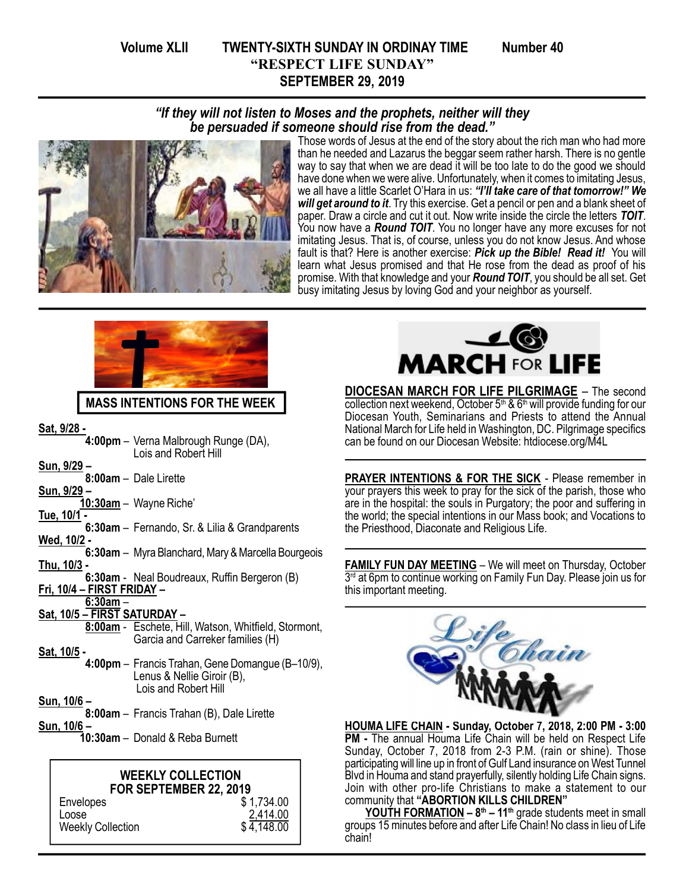# Volume XLII TWENTY-SIXTH SUNDAY IN ORDINAY TIME Number 40 "RESPECT LIFE SUNDAY" SEPTEMBER 29, 2019



Those words of Jesus at the end of the story about the rich man who had more than he needed and Lazarus the beggar seem rather harsh. There is no gentle way to say that when we are dead it will be too late to do the good we should have done when we were alive. Unfortunately, when it comes to imitating Jesus, we all have a little Scarlet O'Hara in us: "I'll take care of that tomorrow!" We will get around to it. Try this exercise. Get a pencil or pen and a blank sheet of paper. Draw a circle and cut it out. Now write inside the circle the letters TOIT. You now have a **Round TOIT**. You no longer have any more excuses for not imitating Jesus. That is, of course, unless you do not know Jesus. And whose fault is that? Here is another exercise: Pick up the Bible! Read it! You will learn what Jesus promised and that He rose from the dead as proof of his promise. With that knowledge and your Round TOIT, you should be all set. Get busy imitating Jesus by loving God and your neighbor as yourself.



## MASS INTENTIONS FOR THE WEEK

Sat, 9/28 -

- 4:00pm Verna Malbrough Runge (DA), Lois and Robert Hill
- Sun, 9/29 –
- 8:00am Dale Lirette Sun, 9/29 –
- 10:30am Wayne Riche'
- Tue, 10/1 -
- 6:30am Fernando, Sr. & Lilia & Grandparents Wed, 10/2 -
- 6:30am Myra Blanchard, Mary & Marcella Bourgeois Thu, 10/3 -
- 6:30am Neal Boudreaux, Ruffin Bergeron (B) Fri, 10/4 – FIRST FRIDAY –
- 6:30am –

#### Sat, 10/5 – FIRST SATURDAY –

- 8:00am Eschete, Hill, Watson, Whitfield, Stormont, Garcia and Carreker families (H)
- Sat, 10/5
	- 4:00pm Francis Trahan, Gene Domangue (B–10/9), Lenus & Nellie Giroir (B), Lois and Robert Hill
- Sun, 10/6 –
- 8:00am Francis Trahan (B), Dale Lirette
- Sun, 10/6
	- 10:30am Donald & Reba Burnett

#### WEEKLY COLLECTION FOR SEPTEMBER 22, 2019

Envelopes \$ 1,734.00<br>Loose \$ 1,734.00  $\frac{2,414.00}{4,148.00}$ Weekly Collection



DIOCESAN MARCH FOR LIFE PILGRIMAGE – The second  $\overline{\text{collection}}$  next weekend, October 5<sup>th</sup> & 6<sup>th</sup> will provide funding for our Diocesan Youth, Seminarians and Priests to attend the Annual National March for Life held in Washington, DC. Pilgrimage specifics can be found on our Diocesan Website: htdiocese.org/M4L

PRAYER INTENTIONS & FOR THE SICK - Please remember in your prayers this week to pray for the sick of the parish, those who are in the hospital: the souls in Purgatory; the poor and suffering in the world; the special intentions in our Mass book; and Vocations to the Priesthood, Diaconate and Religious Life.

FAMILY FUN DAY MEETING – We will meet on Thursday, October 3<sup>rd</sup> at 6pm to continue working on Family Fun Day. Please join us for this important meeting.



HOUMA LIFE CHAIN - Sunday, October 7, 2018, 2:00 PM - 3:00 PM - The annual Houma Life Chain will be held on Respect Life Sunday, October 7, 2018 from 2-3 P.M. (rain or shine). Those participating will line up in front of Gulf Land insurance on West Tunnel Blvd in Houma and stand prayerfully, silently holding Life Chain signs. Join with other pro-life Christians to make a statement to our community that "ABORTION KILLS CHILDREN"

YOUTH FORMATION - 8<sup>th</sup> - 11<sup>th</sup> grade students meet in small groups 15 minutes before and after Life Chain! No class in lieu of Life chain!